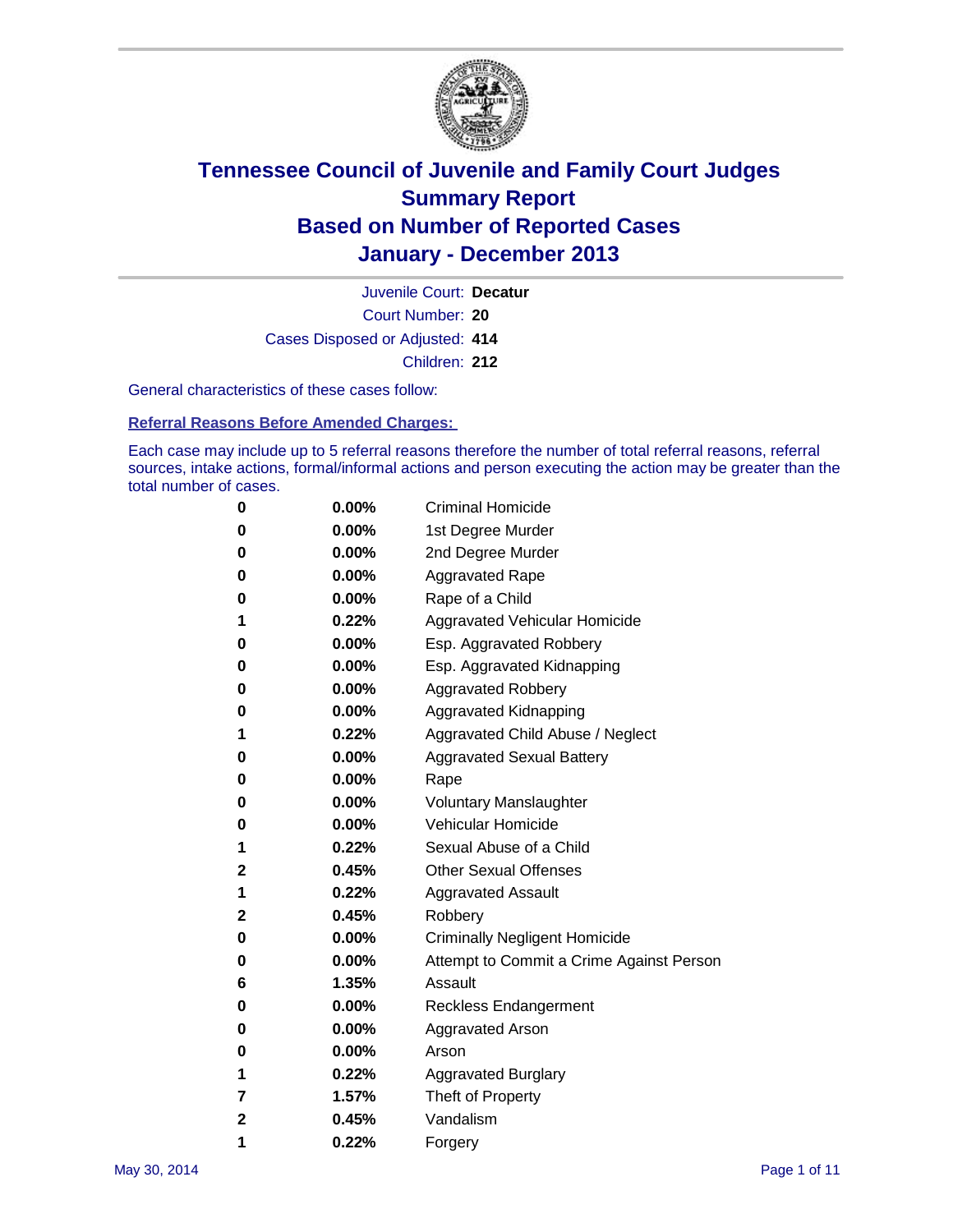

Court Number: **20** Juvenile Court: **Decatur** Cases Disposed or Adjusted: **414** Children: **212**

General characteristics of these cases follow:

**Referral Reasons Before Amended Charges:** 

Each case may include up to 5 referral reasons therefore the number of total referral reasons, referral sources, intake actions, formal/informal actions and person executing the action may be greater than the total number of cases.

| 0 | 0.00%    | <b>Criminal Homicide</b>                 |
|---|----------|------------------------------------------|
| 0 | 0.00%    | 1st Degree Murder                        |
| 0 | $0.00\%$ | 2nd Degree Murder                        |
| 0 | $0.00\%$ | <b>Aggravated Rape</b>                   |
| 0 | 0.00%    | Rape of a Child                          |
| 1 | 0.22%    | Aggravated Vehicular Homicide            |
| 0 | $0.00\%$ | Esp. Aggravated Robbery                  |
| 0 | $0.00\%$ | Esp. Aggravated Kidnapping               |
| 0 | $0.00\%$ | <b>Aggravated Robbery</b>                |
| 0 | $0.00\%$ | Aggravated Kidnapping                    |
| 1 | 0.22%    | Aggravated Child Abuse / Neglect         |
| 0 | 0.00%    | <b>Aggravated Sexual Battery</b>         |
| 0 | 0.00%    | Rape                                     |
| 0 | $0.00\%$ | <b>Voluntary Manslaughter</b>            |
| 0 | $0.00\%$ | Vehicular Homicide                       |
| 1 | 0.22%    | Sexual Abuse of a Child                  |
| 2 | 0.45%    | <b>Other Sexual Offenses</b>             |
| 1 | 0.22%    | <b>Aggravated Assault</b>                |
| 2 | 0.45%    | Robbery                                  |
| 0 | $0.00\%$ | <b>Criminally Negligent Homicide</b>     |
| 0 | $0.00\%$ | Attempt to Commit a Crime Against Person |
| 6 | 1.35%    | Assault                                  |
| 0 | $0.00\%$ | <b>Reckless Endangerment</b>             |
| 0 | $0.00\%$ | <b>Aggravated Arson</b>                  |
| 0 | $0.00\%$ | Arson                                    |
| 1 | 0.22%    | <b>Aggravated Burglary</b>               |
| 7 | 1.57%    | Theft of Property                        |
| 2 | 0.45%    | Vandalism                                |
| 1 | 0.22%    | Forgery                                  |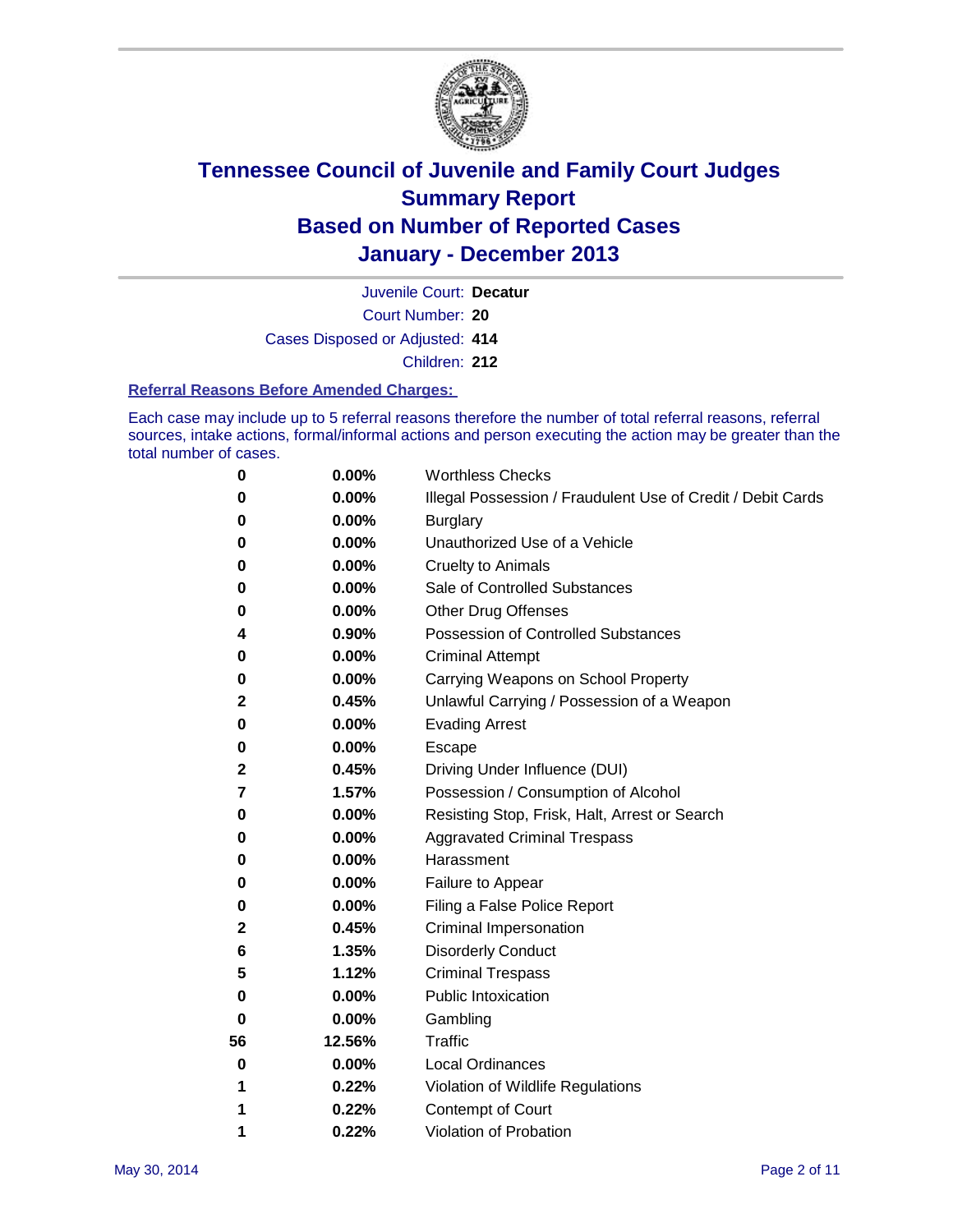

Court Number: **20** Juvenile Court: **Decatur** Cases Disposed or Adjusted: **414** Children: **212**

#### **Referral Reasons Before Amended Charges:**

Each case may include up to 5 referral reasons therefore the number of total referral reasons, referral sources, intake actions, formal/informal actions and person executing the action may be greater than the total number of cases.

| 0            | 0.00%  | <b>Worthless Checks</b>                                     |
|--------------|--------|-------------------------------------------------------------|
| 0            | 0.00%  | Illegal Possession / Fraudulent Use of Credit / Debit Cards |
| 0            | 0.00%  | <b>Burglary</b>                                             |
| 0            | 0.00%  | Unauthorized Use of a Vehicle                               |
| 0            | 0.00%  | <b>Cruelty to Animals</b>                                   |
| 0            | 0.00%  | Sale of Controlled Substances                               |
| 0            | 0.00%  | Other Drug Offenses                                         |
| 4            | 0.90%  | <b>Possession of Controlled Substances</b>                  |
| 0            | 0.00%  | <b>Criminal Attempt</b>                                     |
| 0            | 0.00%  | Carrying Weapons on School Property                         |
| 2            | 0.45%  | Unlawful Carrying / Possession of a Weapon                  |
| 0            | 0.00%  | <b>Evading Arrest</b>                                       |
| 0            | 0.00%  | <b>Escape</b>                                               |
| $\mathbf{2}$ | 0.45%  | Driving Under Influence (DUI)                               |
| 7            | 1.57%  | Possession / Consumption of Alcohol                         |
| 0            | 0.00%  | Resisting Stop, Frisk, Halt, Arrest or Search               |
| 0            | 0.00%  | <b>Aggravated Criminal Trespass</b>                         |
| 0            | 0.00%  | Harassment                                                  |
| 0            | 0.00%  | Failure to Appear                                           |
| 0            | 0.00%  | Filing a False Police Report                                |
| 2            | 0.45%  | Criminal Impersonation                                      |
| 6            | 1.35%  | <b>Disorderly Conduct</b>                                   |
| 5            | 1.12%  | <b>Criminal Trespass</b>                                    |
| 0            | 0.00%  | <b>Public Intoxication</b>                                  |
| 0            | 0.00%  | Gambling                                                    |
| 56           | 12.56% | <b>Traffic</b>                                              |
| 0            | 0.00%  | Local Ordinances                                            |
| 1            | 0.22%  | Violation of Wildlife Regulations                           |
|              | 0.22%  | Contempt of Court                                           |
| 1            | 0.22%  | Violation of Probation                                      |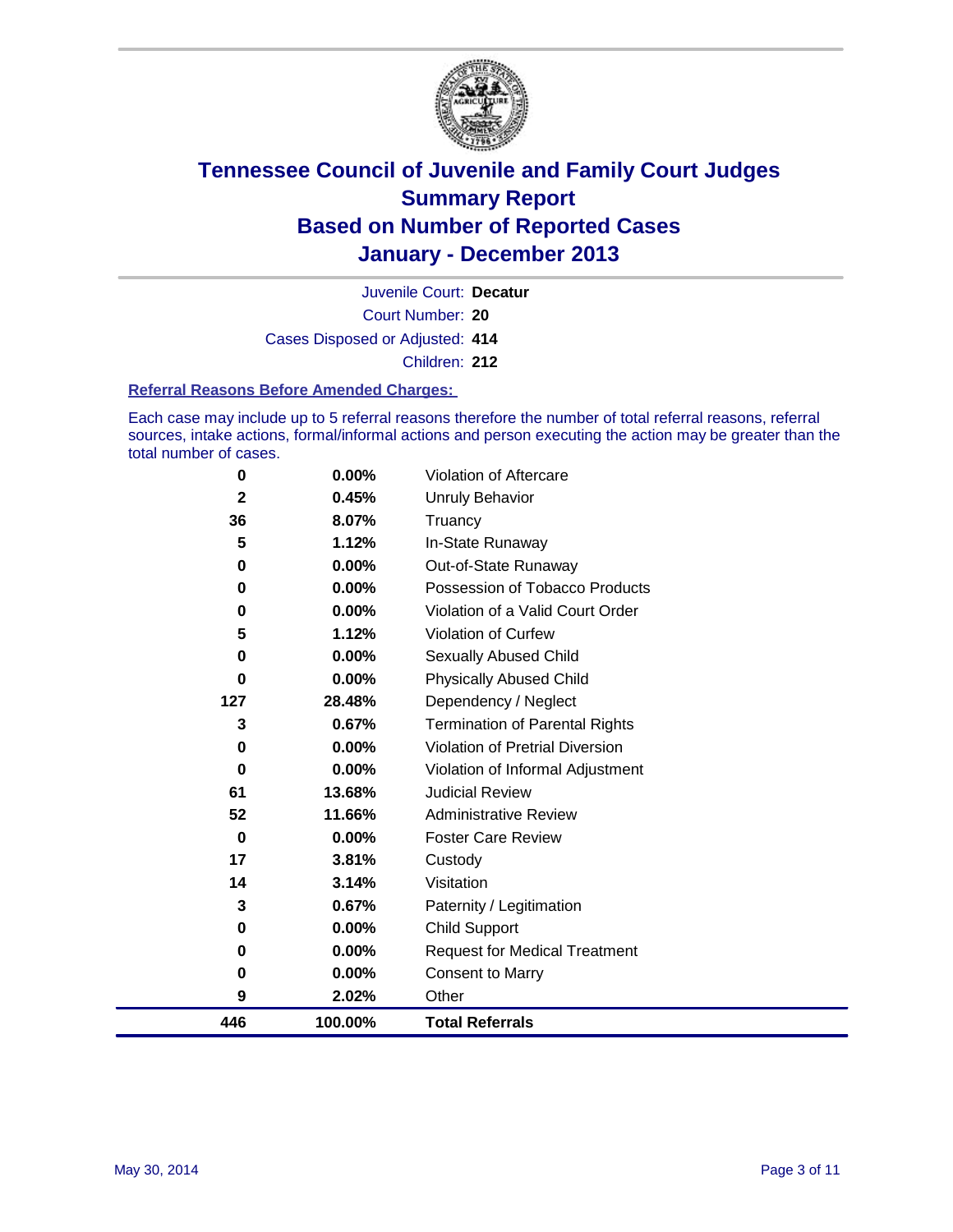

Court Number: **20** Juvenile Court: **Decatur** Cases Disposed or Adjusted: **414** Children: **212**

#### **Referral Reasons Before Amended Charges:**

Each case may include up to 5 referral reasons therefore the number of total referral reasons, referral sources, intake actions, formal/informal actions and person executing the action may be greater than the total number of cases.

| 446          | 100.00% | <b>Total Referrals</b>                |
|--------------|---------|---------------------------------------|
| 9            | 2.02%   | Other                                 |
| 0            | 0.00%   | <b>Consent to Marry</b>               |
| 0            | 0.00%   | <b>Request for Medical Treatment</b>  |
| 0            | 0.00%   | Child Support                         |
| 3            | 0.67%   | Paternity / Legitimation              |
| 14           | 3.14%   | Visitation                            |
| 17           | 3.81%   | Custody                               |
| $\bf{0}$     | 0.00%   | <b>Foster Care Review</b>             |
| 52           | 11.66%  | <b>Administrative Review</b>          |
| 61           | 13.68%  | <b>Judicial Review</b>                |
| $\bf{0}$     | 0.00%   | Violation of Informal Adjustment      |
| 0            | 0.00%   | Violation of Pretrial Diversion       |
| 3            | 0.67%   | <b>Termination of Parental Rights</b> |
| 127          | 28.48%  | Dependency / Neglect                  |
| 0            | 0.00%   | <b>Physically Abused Child</b>        |
| $\bf{0}$     | 0.00%   | <b>Sexually Abused Child</b>          |
| 5            | 1.12%   | Violation of Curfew                   |
| $\bf{0}$     | 0.00%   | Violation of a Valid Court Order      |
| 0            | 0.00%   | Possession of Tobacco Products        |
| 0            | 0.00%   | Out-of-State Runaway                  |
| 5            | 1.12%   | In-State Runaway                      |
| 36           | 8.07%   | Truancy                               |
| $\mathbf{2}$ | 0.45%   | Unruly Behavior                       |
| 0            | 0.00%   | Violation of Aftercare                |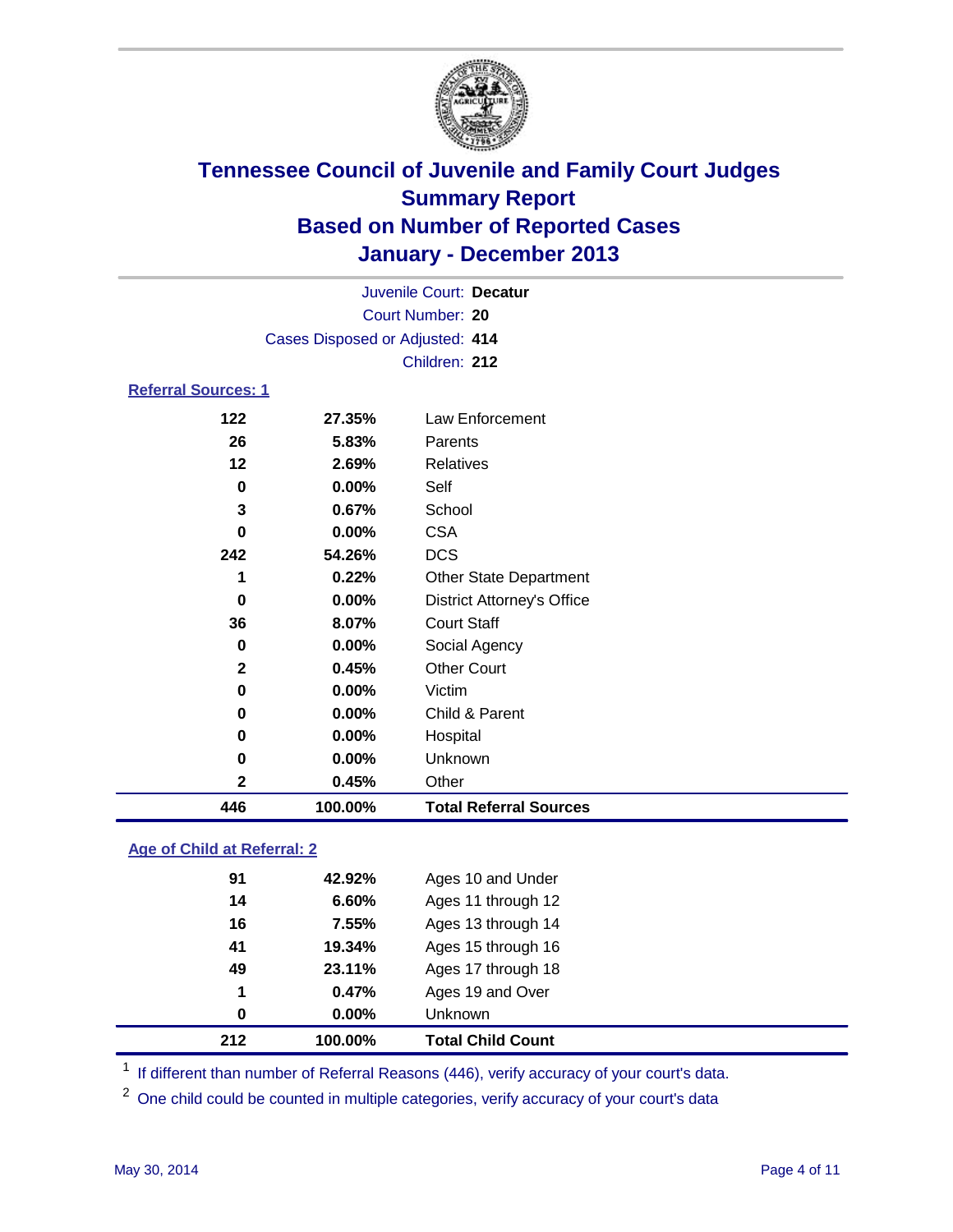

| Juvenile Court: Decatur         |                  |                                   |  |  |  |
|---------------------------------|------------------|-----------------------------------|--|--|--|
|                                 | Court Number: 20 |                                   |  |  |  |
| Cases Disposed or Adjusted: 414 |                  |                                   |  |  |  |
|                                 |                  | Children: 212                     |  |  |  |
| <b>Referral Sources: 1</b>      |                  |                                   |  |  |  |
| 122                             | 27.35%           | Law Enforcement                   |  |  |  |
| 26                              | 5.83%            | Parents                           |  |  |  |
| 12                              | 2.69%            | Relatives                         |  |  |  |
| 0                               | 0.00%            | Self                              |  |  |  |
| 3                               | 0.67%            | School                            |  |  |  |
| $\bf{0}$                        | 0.00%            | <b>CSA</b>                        |  |  |  |
| 242                             | 54.26%           | <b>DCS</b>                        |  |  |  |
| 1                               | 0.22%            | <b>Other State Department</b>     |  |  |  |
| 0                               | 0.00%            | <b>District Attorney's Office</b> |  |  |  |
| 36                              | 8.07%            | <b>Court Staff</b>                |  |  |  |
| 0                               | 0.00%            | Social Agency                     |  |  |  |
| $\mathbf{2}$                    | 0.45%            | <b>Other Court</b>                |  |  |  |
| $\bf{0}$                        | 0.00%            | Victim                            |  |  |  |
| 0                               | 0.00%            | Child & Parent                    |  |  |  |
| 0                               | 0.00%            | Hospital                          |  |  |  |
| 0                               | 0.00%            | Unknown                           |  |  |  |
| 2                               | 0.45%            | Other                             |  |  |  |
| 446                             | 100.00%          | <b>Total Referral Sources</b>     |  |  |  |

### **Age of Child at Referral: 2**

| 1<br>0 | 0.47%<br>0.00% | Ages 19 and Over<br><b>Unknown</b> |                              |
|--------|----------------|------------------------------------|------------------------------|
|        |                |                                    |                              |
|        |                |                                    |                              |
| 49     |                |                                    |                              |
| 41     | 19.34%         | Ages 15 through 16                 |                              |
| 16     | 7.55%          | Ages 13 through 14                 |                              |
| 14     | 6.60%          | Ages 11 through 12                 |                              |
| 91     | 42.92%         | Ages 10 and Under                  |                              |
|        |                |                                    | 23.11%<br>Ages 17 through 18 |

<sup>1</sup> If different than number of Referral Reasons (446), verify accuracy of your court's data.

<sup>2</sup> One child could be counted in multiple categories, verify accuracy of your court's data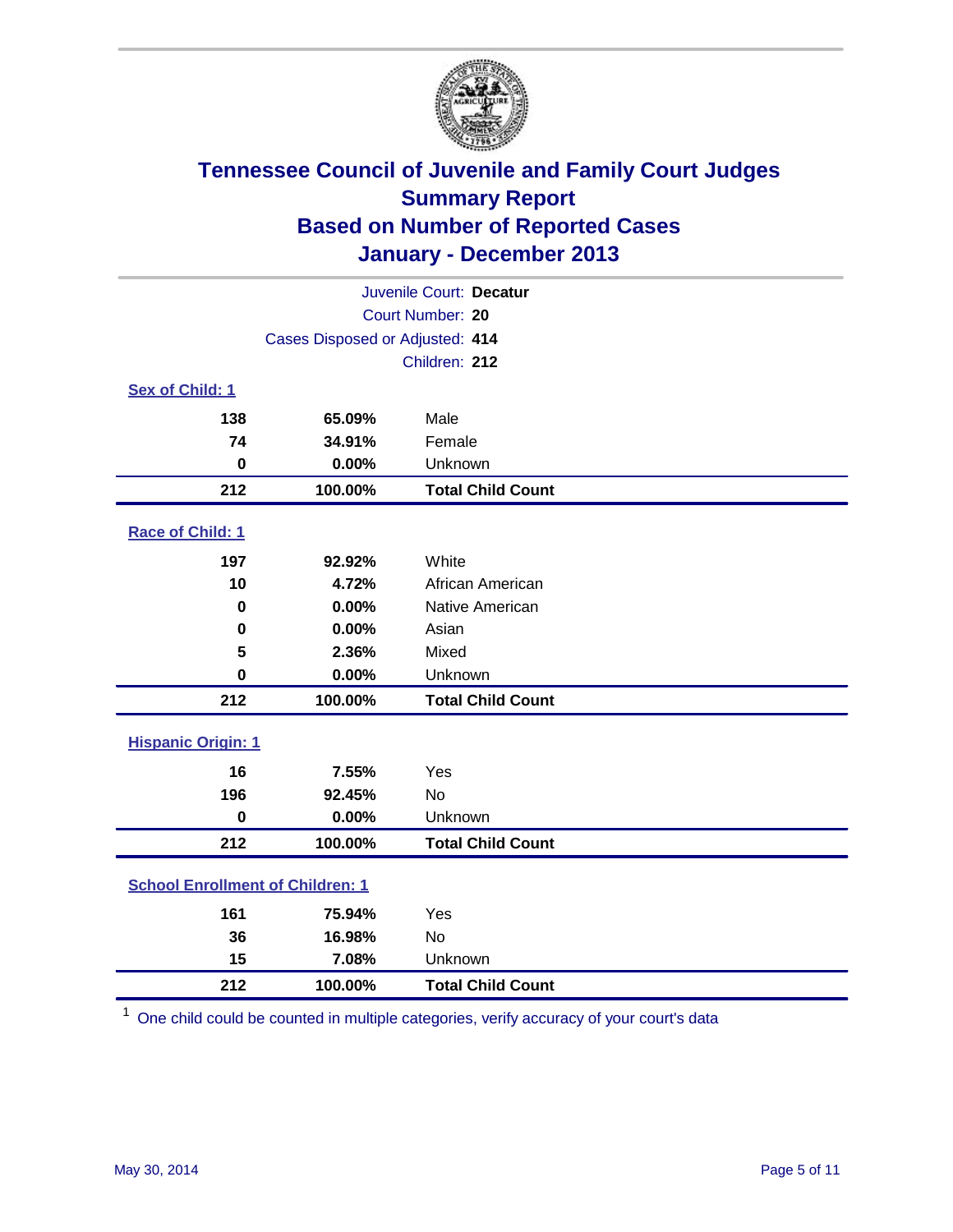

| Juvenile Court: Decatur                 |                                 |                          |  |  |  |
|-----------------------------------------|---------------------------------|--------------------------|--|--|--|
| Court Number: 20                        |                                 |                          |  |  |  |
|                                         | Cases Disposed or Adjusted: 414 |                          |  |  |  |
|                                         | Children: 212                   |                          |  |  |  |
| Sex of Child: 1                         |                                 |                          |  |  |  |
| 138                                     | 65.09%                          | Male                     |  |  |  |
| 74                                      | 34.91%                          | Female                   |  |  |  |
| $\mathbf 0$                             | 0.00%                           | Unknown                  |  |  |  |
| 212                                     | 100.00%                         | <b>Total Child Count</b> |  |  |  |
| Race of Child: 1                        |                                 |                          |  |  |  |
| 197                                     | 92.92%                          | White                    |  |  |  |
| 10                                      | 4.72%                           | African American         |  |  |  |
| $\bf{0}$                                | 0.00%                           | Native American          |  |  |  |
| $\bf{0}$                                | 0.00%                           | Asian                    |  |  |  |
| 5                                       | 2.36%                           | Mixed                    |  |  |  |
| $\mathbf 0$                             | 0.00%                           | Unknown                  |  |  |  |
| 212                                     | 100.00%                         | <b>Total Child Count</b> |  |  |  |
| <b>Hispanic Origin: 1</b>               |                                 |                          |  |  |  |
| 16                                      | 7.55%                           | Yes                      |  |  |  |
| 196                                     | 92.45%                          | <b>No</b>                |  |  |  |
| $\mathbf 0$                             | 0.00%                           | Unknown                  |  |  |  |
| 212                                     | 100.00%                         | <b>Total Child Count</b> |  |  |  |
| <b>School Enrollment of Children: 1</b> |                                 |                          |  |  |  |
| 161                                     | 75.94%                          | Yes                      |  |  |  |
| 36                                      | 16.98%                          | <b>No</b>                |  |  |  |
| 15                                      | 7.08%                           | Unknown                  |  |  |  |
| 212                                     | 100.00%                         | <b>Total Child Count</b> |  |  |  |

One child could be counted in multiple categories, verify accuracy of your court's data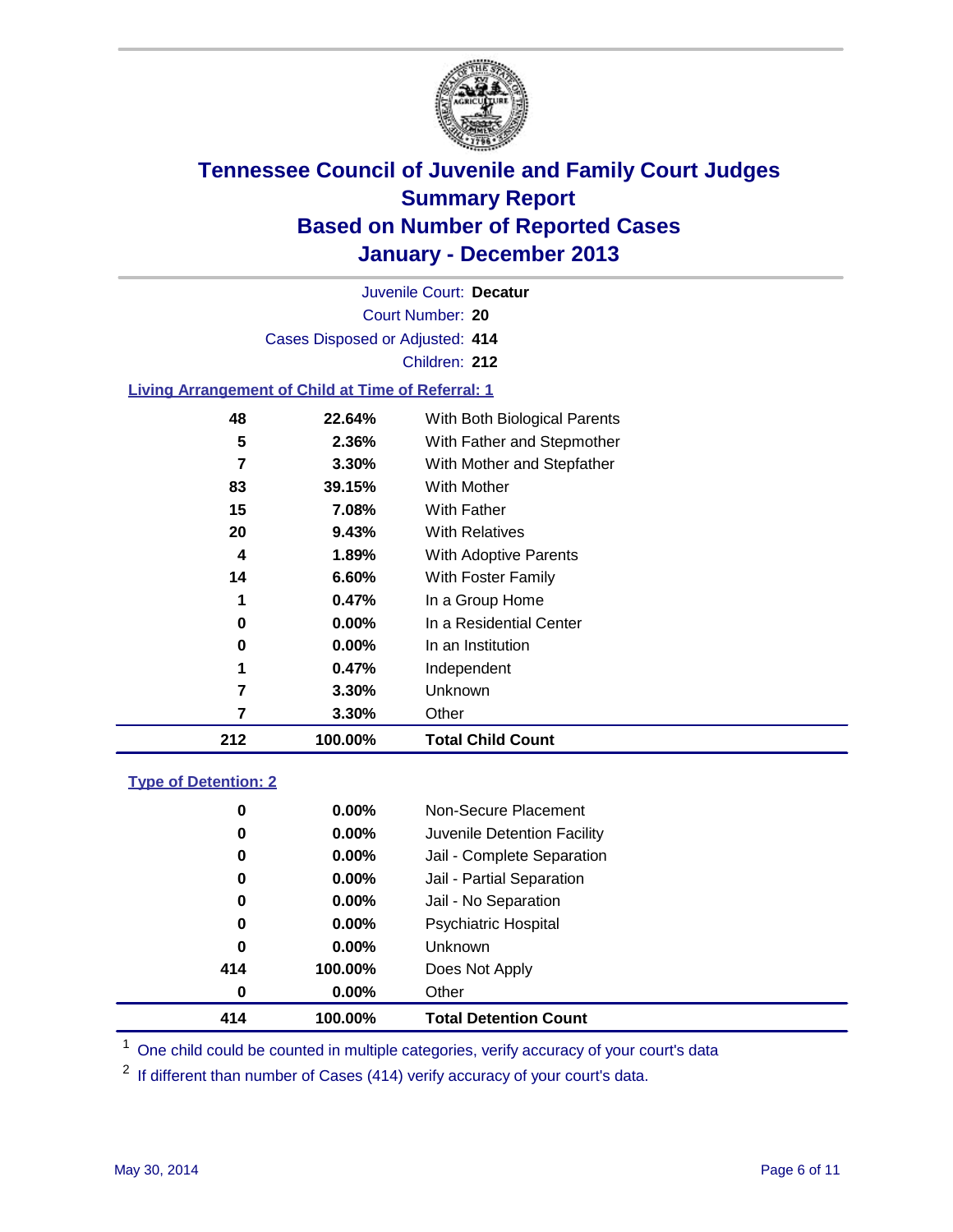

Court Number: **20** Juvenile Court: **Decatur** Cases Disposed or Adjusted: **414** Children: **212**

### **Living Arrangement of Child at Time of Referral: 1**

| 212 | 100.00%  | <b>Total Child Count</b>     |  |
|-----|----------|------------------------------|--|
| 7   | 3.30%    | Other                        |  |
| 7   | 3.30%    | Unknown                      |  |
| 1   | 0.47%    | Independent                  |  |
| 0   | 0.00%    | In an Institution            |  |
| 0   | $0.00\%$ | In a Residential Center      |  |
| 1   | 0.47%    | In a Group Home              |  |
| 14  | 6.60%    | With Foster Family           |  |
| 4   | 1.89%    | <b>With Adoptive Parents</b> |  |
| 20  | 9.43%    | <b>With Relatives</b>        |  |
| 15  | 7.08%    | With Father                  |  |
| 83  | 39.15%   | <b>With Mother</b>           |  |
| 7   | 3.30%    | With Mother and Stepfather   |  |
| 5   | 2.36%    | With Father and Stepmother   |  |
| 48  | 22.64%   | With Both Biological Parents |  |
|     |          |                              |  |

### **Type of Detention: 2**

| 414 | 100.00%  | <b>Total Detention Count</b> |  |
|-----|----------|------------------------------|--|
| 0   | $0.00\%$ | Other                        |  |
| 414 | 100.00%  | Does Not Apply               |  |
| 0   | $0.00\%$ | <b>Unknown</b>               |  |
| 0   | $0.00\%$ | <b>Psychiatric Hospital</b>  |  |
| 0   | 0.00%    | Jail - No Separation         |  |
| 0   | $0.00\%$ | Jail - Partial Separation    |  |
| 0   | 0.00%    | Jail - Complete Separation   |  |
| 0   | 0.00%    | Juvenile Detention Facility  |  |
| 0   | $0.00\%$ | Non-Secure Placement         |  |
|     |          |                              |  |

<sup>1</sup> One child could be counted in multiple categories, verify accuracy of your court's data

If different than number of Cases (414) verify accuracy of your court's data.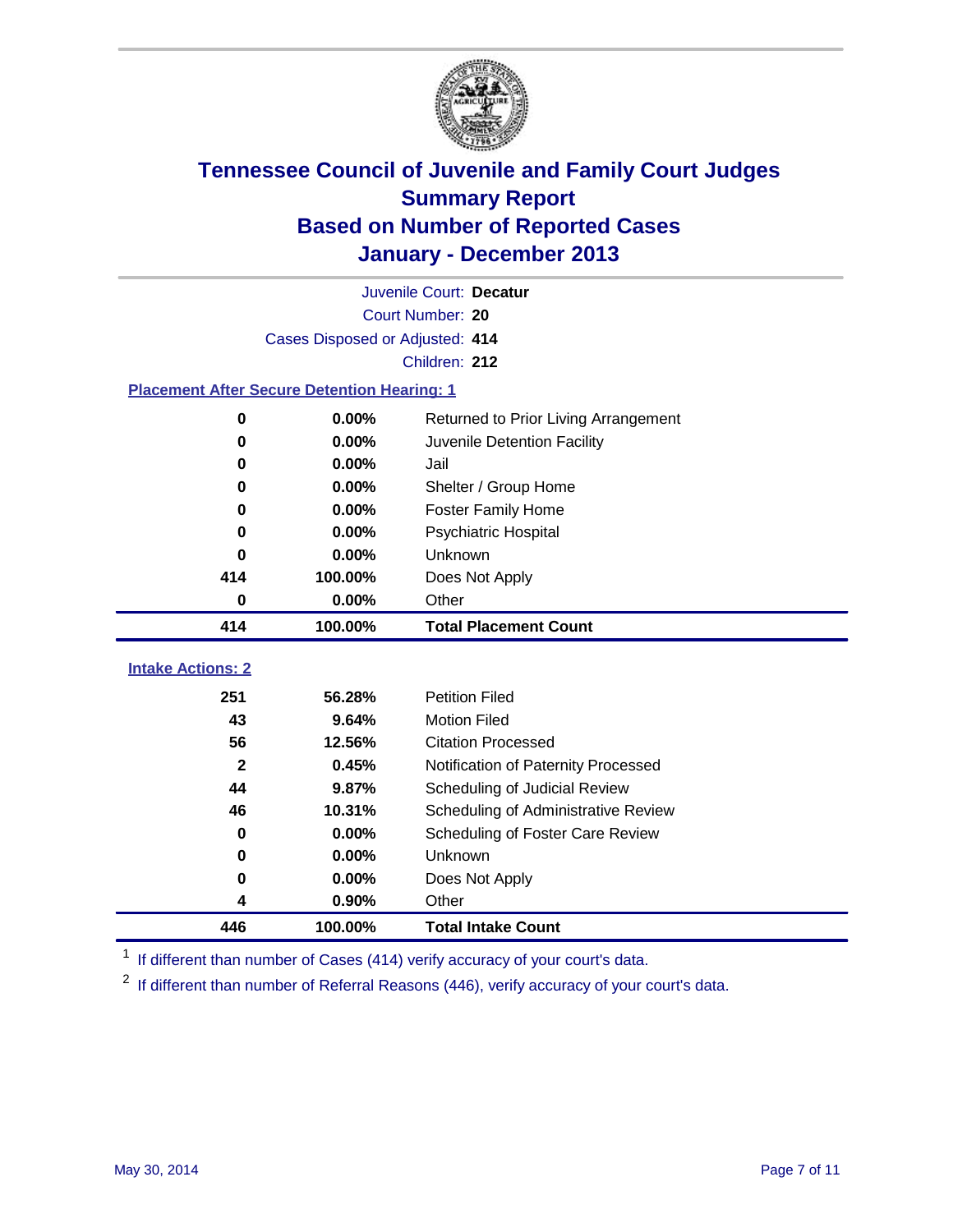

|                                                    | Juvenile Court: Decatur         |                                      |  |  |  |
|----------------------------------------------------|---------------------------------|--------------------------------------|--|--|--|
|                                                    | Court Number: 20                |                                      |  |  |  |
|                                                    | Cases Disposed or Adjusted: 414 |                                      |  |  |  |
|                                                    |                                 | Children: 212                        |  |  |  |
| <b>Placement After Secure Detention Hearing: 1</b> |                                 |                                      |  |  |  |
| 0                                                  | 0.00%                           | Returned to Prior Living Arrangement |  |  |  |
| $\bf{0}$                                           | 0.00%                           | Juvenile Detention Facility          |  |  |  |
| 0                                                  | 0.00%                           | Jail                                 |  |  |  |
| 0                                                  | 0.00%                           | Shelter / Group Home                 |  |  |  |
| $\bf{0}$                                           | 0.00%                           | <b>Foster Family Home</b>            |  |  |  |
| 0                                                  | 0.00%                           | Psychiatric Hospital                 |  |  |  |
| 0                                                  | 0.00%                           | Unknown                              |  |  |  |
| 414                                                | 100.00%                         | Does Not Apply                       |  |  |  |
| 0                                                  | 0.00%                           | Other                                |  |  |  |
| 414                                                | 100.00%                         | <b>Total Placement Count</b>         |  |  |  |
|                                                    |                                 |                                      |  |  |  |
|                                                    |                                 |                                      |  |  |  |
| <b>Intake Actions: 2</b>                           |                                 |                                      |  |  |  |
| 251                                                | 56.28%                          | <b>Petition Filed</b>                |  |  |  |
| 43                                                 | 9.64%                           | <b>Motion Filed</b>                  |  |  |  |
| 56                                                 | 12.56%                          | <b>Citation Processed</b>            |  |  |  |
| $\mathbf{2}$                                       | 0.45%                           | Notification of Paternity Processed  |  |  |  |
| 44                                                 | 9.87%                           | Scheduling of Judicial Review        |  |  |  |
| 46                                                 | 10.31%                          | Scheduling of Administrative Review  |  |  |  |
| $\bf{0}$                                           | 0.00%                           | Scheduling of Foster Care Review     |  |  |  |
| 0                                                  | 0.00%                           | Unknown                              |  |  |  |
| $\bf{0}$                                           | 0.00%                           | Does Not Apply                       |  |  |  |
| 4<br>446                                           | 0.90%<br>100.00%                | Other<br><b>Total Intake Count</b>   |  |  |  |

<sup>1</sup> If different than number of Cases (414) verify accuracy of your court's data.

If different than number of Referral Reasons (446), verify accuracy of your court's data.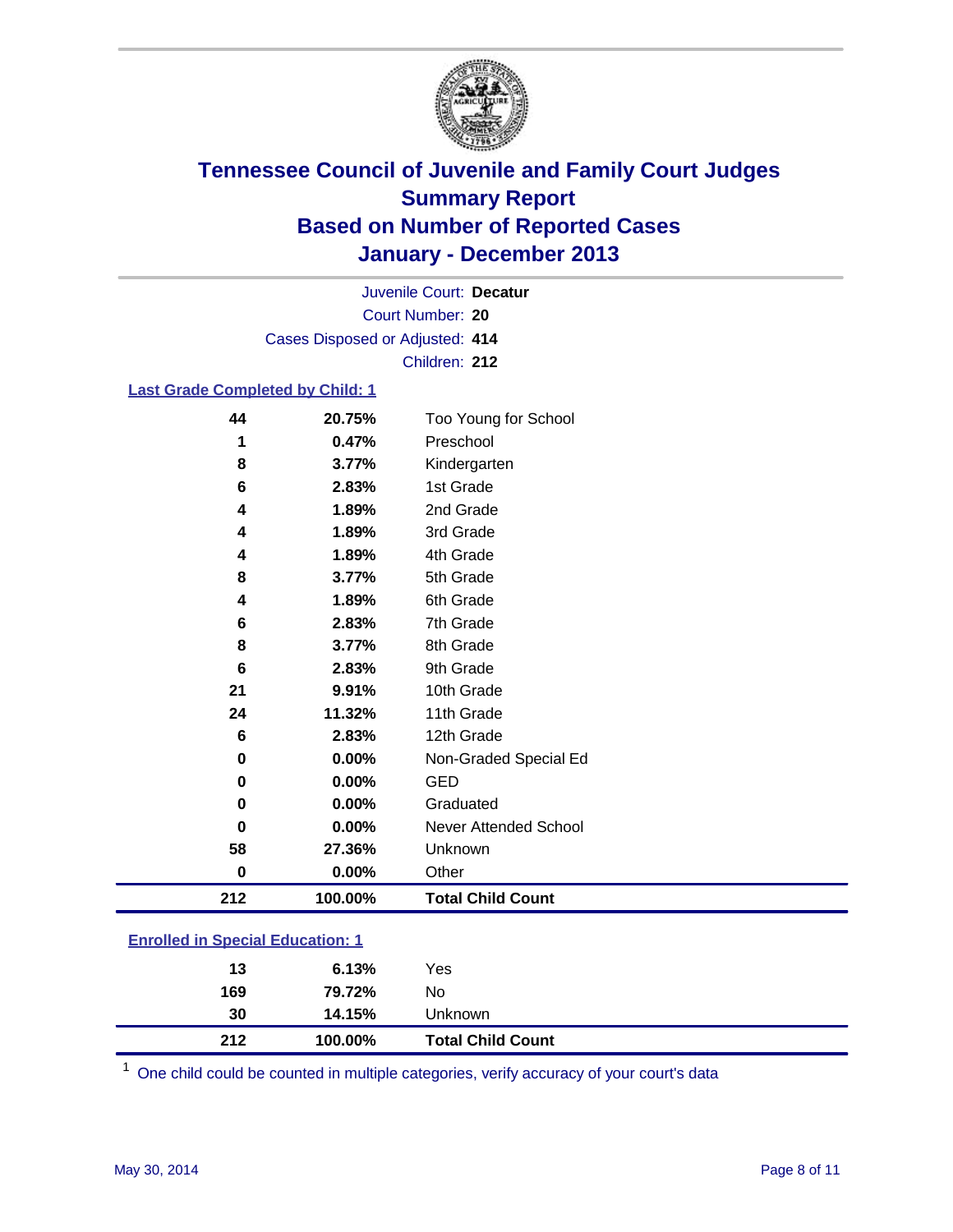

Court Number: **20** Juvenile Court: **Decatur** Cases Disposed or Adjusted: **414** Children: **212**

### **Last Grade Completed by Child: 1**

| 44  | 20.75%   | Too Young for School         |
|-----|----------|------------------------------|
| 1   | 0.47%    | Preschool                    |
| 8   | 3.77%    | Kindergarten                 |
| 6   | 2.83%    | 1st Grade                    |
| 4   | 1.89%    | 2nd Grade                    |
| 4   | 1.89%    | 3rd Grade                    |
| 4   | 1.89%    | 4th Grade                    |
| 8   | 3.77%    | 5th Grade                    |
| 4   | 1.89%    | 6th Grade                    |
| 6   | 2.83%    | 7th Grade                    |
| 8   | 3.77%    | 8th Grade                    |
| 6   | 2.83%    | 9th Grade                    |
| 21  | 9.91%    | 10th Grade                   |
| 24  | 11.32%   | 11th Grade                   |
| 6   | 2.83%    | 12th Grade                   |
| 0   | $0.00\%$ | Non-Graded Special Ed        |
| 0   | $0.00\%$ | GED                          |
| 0   | 0.00%    | Graduated                    |
| 0   | $0.00\%$ | <b>Never Attended School</b> |
| 58  | 27.36%   | Unknown                      |
| 0   | $0.00\%$ | Other                        |
| 212 | 100.00%  | <b>Total Child Count</b>     |

| <b>Enrolled in Special Education: 1</b> |           |      |  |  |  |
|-----------------------------------------|-----------|------|--|--|--|
|                                         | . በ 1 20/ | Voc. |  |  |  |

| 212 | 100.00% | <b>Total Child Count</b> |
|-----|---------|--------------------------|
| 30  | 14.15%  | Unknown                  |
| 169 | 79.72%  | No                       |
| 13  | 6.13%   | Yes                      |

One child could be counted in multiple categories, verify accuracy of your court's data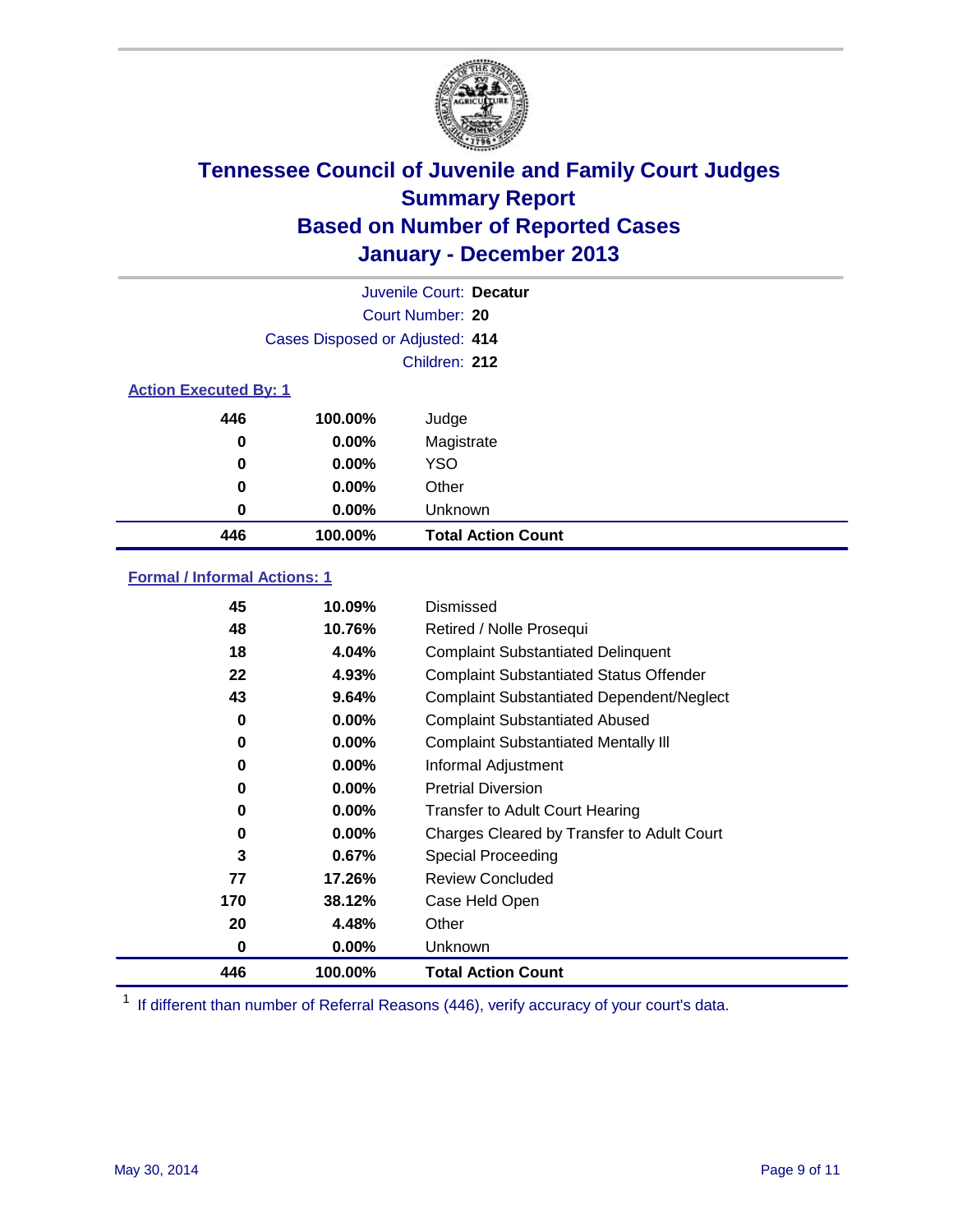

|                              |                                 | Juvenile Court: Decatur   |
|------------------------------|---------------------------------|---------------------------|
|                              |                                 | Court Number: 20          |
|                              | Cases Disposed or Adjusted: 414 |                           |
|                              |                                 | Children: 212             |
| <b>Action Executed By: 1</b> |                                 |                           |
| 446                          | 100.00%                         | Judge                     |
| 0                            | $0.00\%$                        | Magistrate                |
| 0                            | $0.00\%$                        | <b>YSO</b>                |
| 0                            | $0.00\%$                        | Other                     |
| 0                            | $0.00\%$                        | Unknown                   |
| 446                          | 100.00%                         | <b>Total Action Count</b> |

### **Formal / Informal Actions: 1**

| 45  | 10.09%   | Dismissed                                        |
|-----|----------|--------------------------------------------------|
| 48  | 10.76%   | Retired / Nolle Prosequi                         |
| 18  | 4.04%    | <b>Complaint Substantiated Delinquent</b>        |
| 22  | 4.93%    | <b>Complaint Substantiated Status Offender</b>   |
| 43  | 9.64%    | <b>Complaint Substantiated Dependent/Neglect</b> |
| 0   | $0.00\%$ | <b>Complaint Substantiated Abused</b>            |
| 0   | $0.00\%$ | <b>Complaint Substantiated Mentally III</b>      |
| 0   | $0.00\%$ | Informal Adjustment                              |
| 0   | $0.00\%$ | <b>Pretrial Diversion</b>                        |
| 0   | 0.00%    | <b>Transfer to Adult Court Hearing</b>           |
| 0   | $0.00\%$ | Charges Cleared by Transfer to Adult Court       |
| 3   | 0.67%    | Special Proceeding                               |
| 77  | 17.26%   | <b>Review Concluded</b>                          |
| 170 | 38.12%   | Case Held Open                                   |
| 20  | 4.48%    | Other                                            |
| 0   | $0.00\%$ | Unknown                                          |
| 446 | 100.00%  | <b>Total Action Count</b>                        |

<sup>1</sup> If different than number of Referral Reasons (446), verify accuracy of your court's data.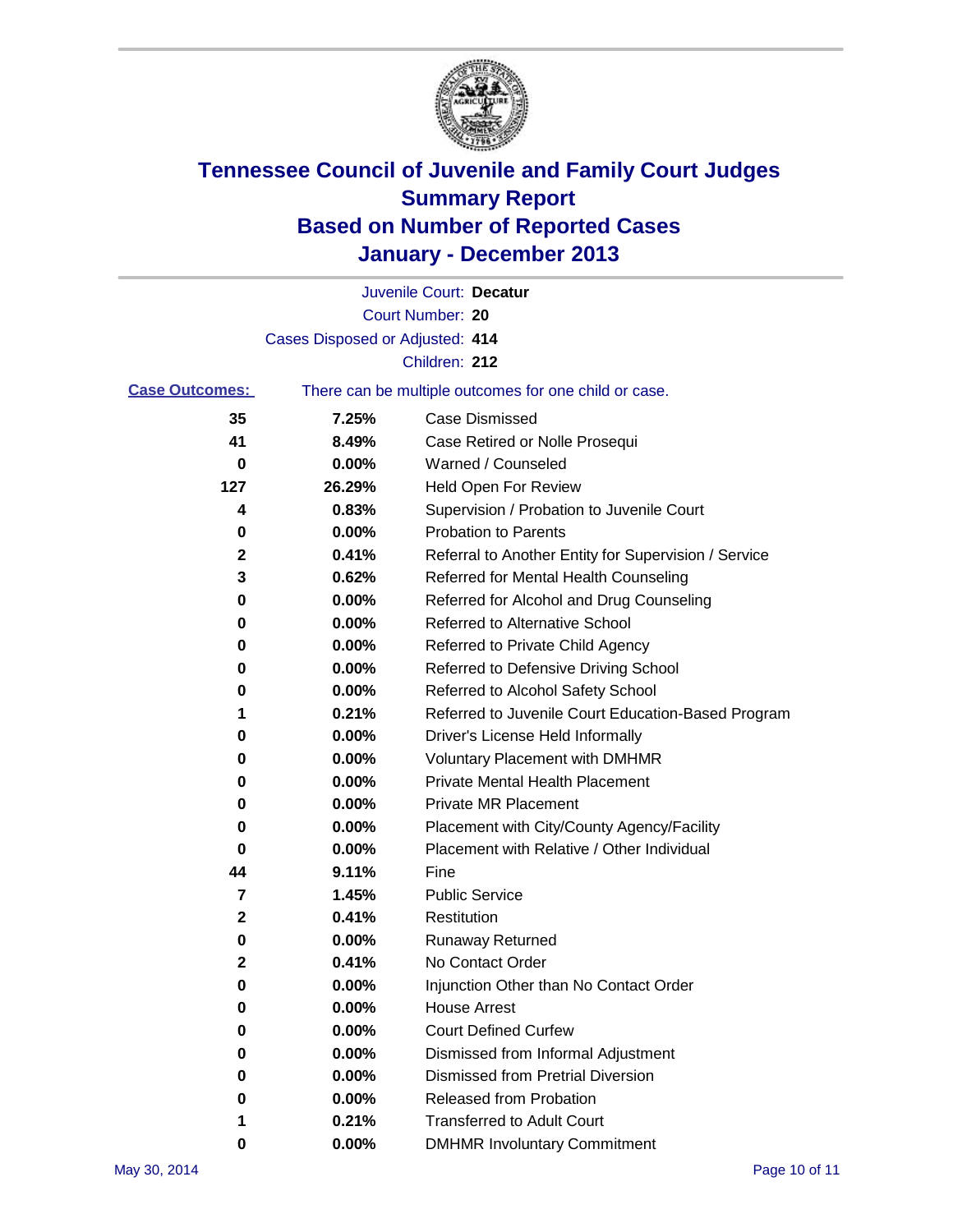

|                       |                                 | Juvenile Court: Decatur                               |
|-----------------------|---------------------------------|-------------------------------------------------------|
|                       |                                 | Court Number: 20                                      |
|                       | Cases Disposed or Adjusted: 414 |                                                       |
|                       |                                 | Children: 212                                         |
| <b>Case Outcomes:</b> |                                 | There can be multiple outcomes for one child or case. |
| 35                    | 7.25%                           | Case Dismissed                                        |
| 41                    | 8.49%                           | Case Retired or Nolle Prosequi                        |
| 0                     | 0.00%                           | Warned / Counseled                                    |
| 127                   | 26.29%                          | Held Open For Review                                  |
| 4                     | 0.83%                           | Supervision / Probation to Juvenile Court             |
| 0                     | 0.00%                           | <b>Probation to Parents</b>                           |
| 2                     | 0.41%                           | Referral to Another Entity for Supervision / Service  |
| 3                     | 0.62%                           | Referred for Mental Health Counseling                 |
| 0                     | 0.00%                           | Referred for Alcohol and Drug Counseling              |
| 0                     | $0.00\%$                        | <b>Referred to Alternative School</b>                 |
| 0                     | 0.00%                           | Referred to Private Child Agency                      |
| 0                     | 0.00%                           | Referred to Defensive Driving School                  |
| 0                     | 0.00%                           | Referred to Alcohol Safety School                     |
| 1                     | 0.21%                           | Referred to Juvenile Court Education-Based Program    |
| 0                     | 0.00%                           | Driver's License Held Informally                      |
| 0                     | 0.00%                           | <b>Voluntary Placement with DMHMR</b>                 |
| 0                     | 0.00%                           | <b>Private Mental Health Placement</b>                |
| 0                     | 0.00%                           | <b>Private MR Placement</b>                           |
| 0                     | 0.00%                           | Placement with City/County Agency/Facility            |
| 0                     | 0.00%                           | Placement with Relative / Other Individual            |
| 44                    | 9.11%                           | Fine                                                  |
| 7                     | 1.45%                           | <b>Public Service</b>                                 |
| $\mathbf{2}$          | 0.41%                           | Restitution                                           |
| 0                     | 0.00%                           | <b>Runaway Returned</b>                               |
| 2                     | 0.41%                           | No Contact Order                                      |
| 0                     | 0.00%                           | Injunction Other than No Contact Order                |
| 0                     | 0.00%                           | <b>House Arrest</b>                                   |
| 0                     | 0.00%                           | <b>Court Defined Curfew</b>                           |
| 0                     | 0.00%                           | Dismissed from Informal Adjustment                    |
| 0                     | 0.00%                           | <b>Dismissed from Pretrial Diversion</b>              |
| 0                     | 0.00%                           | Released from Probation                               |
| 1                     | 0.21%                           | <b>Transferred to Adult Court</b>                     |
| 0                     | $0.00\%$                        | <b>DMHMR Involuntary Commitment</b>                   |